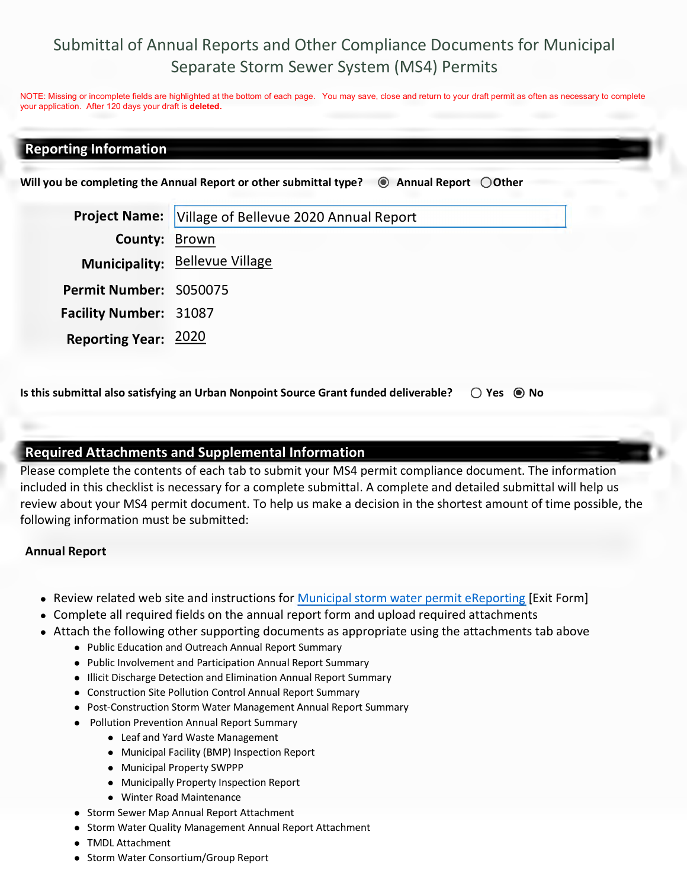# Submittal of Annual Reports and Other Compliance Documents for Municipal Separate Storm Sewer System (MS4) Permits

NOTE: Missing or incomplete fields are highlighted at the bottom of each page. You may save, close and return to your draft permit as often as necessary to complete your application. After 120 days your draft is **deleted.**

### **Reporting Information**

Will you be completing the Annual Report or other submittal type?  $\quad \textcircled{\textcolor{red}{\bullet}}$  Annual Report  $\textcircled{\textcolor{red}{\bullet}}$  Other

**Project Name:** Village of Bellevue 2020 Annual Report **County:** Brown **Municipality:** Bellevue Village **Permit Number:** S050075 **Facility Number:** 31087 **Reporting Year:** 2020

**Is this submittal also satisfying an Urban Nonpoint Source Grant funded deliverable?**  $\bigcirc$  Yes  $\bigcirc$  No

#### **Required Attachments and Supplemental Information**

Please complete the contents of each tab to submit your MS4 permit compliance document. The information included in this checklist is necessary for a complete submittal. A complete and detailed submittal will help us review about your MS4 permit document. To help us make a decision in the shortest amount of time possible, the following information must be submitted:

#### **Annual Report**

- Review related web site and instructions for Municipal storm water permit eReporting [Exit Form]
- Complete all required fields on the annual report form and upload required attachments
- Attach the following other supporting documents as appropriate using the attachments tab above
	- Public Education and Outreach Annual Report Summary
	- Public Involvement and Participation Annual Report Summary
	- Illicit Discharge Detection and Elimination Annual Report Summary
	- Construction Site Pollution Control Annual Report Summary
	- Post-Construction Storm Water Management Annual Report Summary
	- Pollution Prevention Annual Report Summary
		- Leaf and Yard Waste Management
		- Municipal Facility (BMP) Inspection Report
		- Municipal Property SWPPP
		- Municipally Property Inspection Report
		- Winter Road Maintenance
	- Storm Sewer Map Annual Report Attachment
	- Storm Water Quality Management Annual Report Attachment
	- TMDL Attachment
	- Storm Water Consortium/Group Report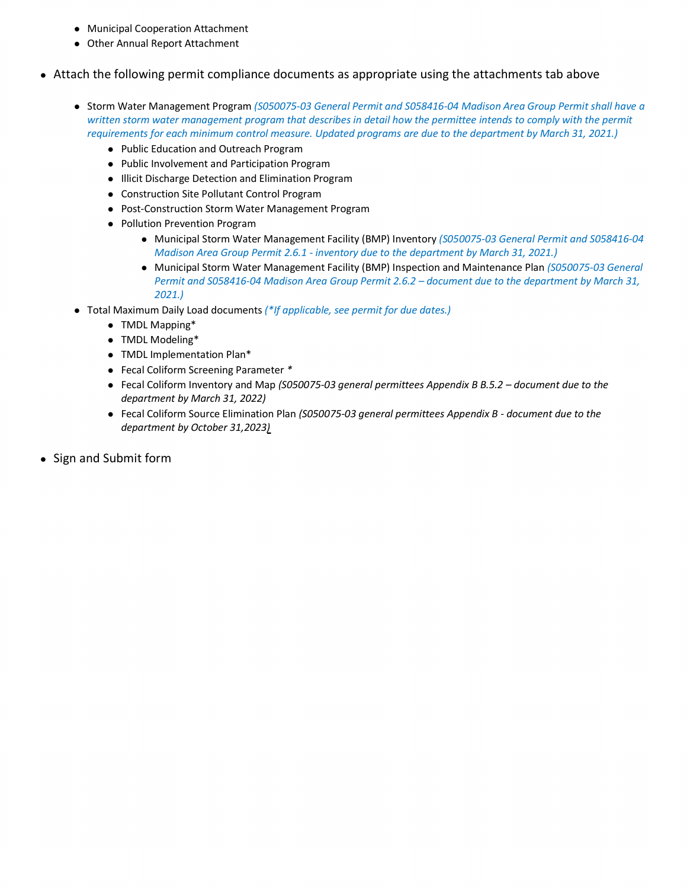- Municipal Cooperation Attachment
- Other Annual Report Attachment
- Attach the following permit compliance documents as appropriate using the attachments tab above
	- Storm Water Management Program *(S050075-03 General Permit and S058416-04 Madison Area Group Permit shall have a*  written storm water management program that describes in detail how the permittee intends to comply with the permit *requirements for each minimum control measure. Updated programs are due to the department by March 31, 2021.)* 
		- Public Education and Outreach Program
		- Public Involvement and Participation Program
		- $\bullet$  Illicit Discharge Detection and Elimination Program
		- Construction Site Pollutant Control Program
		- Post-Construction Storm Water Management Program
		- Pollution Prevention Program
			- Municipal Storm Water Management Facility (BMP) Inventory *(S050075-03 General Permit and S058416-04 Madison Area Group Permit 2.6.1 - inventory due to the department by March 31, 2021.)*
			- Municipal Storm Water Management Facility (BMP) Inspection and Maintenance Plan *(S050075-03 General Permit and S058416-04 Madison Area Group Permit 2.6.2 – document due to the department by March 31, 2021.)*
	- Total Maximum Daily Load documents *(\*If applicable, see permit for due dates.)*
		- TMDL Mapping\*
		- TMDL Modeling\*
		- TMDL Implementation Plan\*
		- Fecal Coliform Screening Parameter *\**
		- Fecal Coliform Inventory and Map *(S050075-03 general permittees Appendix B B.5.2 document due to the department by March 31, 2022)*
		- Fecal Coliform Source Elimination Plan *(S050075-03 general permittees Appendix B document due to the department by October 31,2023)* -
- Sign and Submit form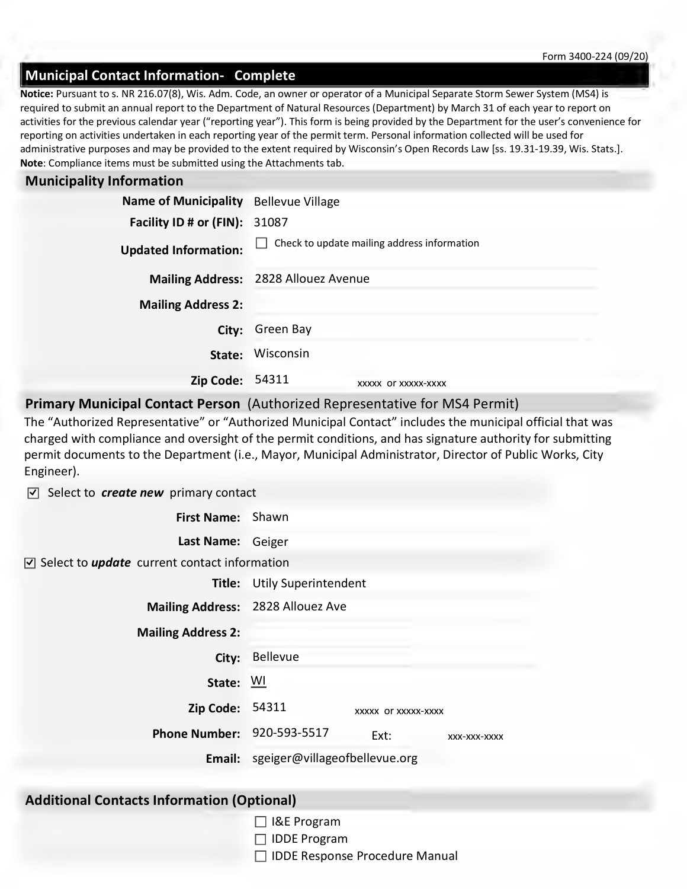## **Municipal Contact Information- Complete**

**Note**: Compliance items must be submitted using the Attachments tab. **Notice:** Pursuant to s. NR 216.07(8), Wis. Adm. Code, an owner or operator of a Municipal Separate Storm Sewer System (MS4) is required to submit an annual report to the Department of Natural Resources (Department) by March 31 of each year to report on activities for the previous calendar year ("reporting year"). This form is being provided by the Department for the user's convenience for reporting on activities undertaken in each reporting year of the permit term. Personal information collected will be used for administrative purposes and may be provided to the extent required by Wisconsin's Open Records Law [ss. 19.31-19.39, Wis. Stats.].

#### **Municipality Information**

| Name of Municipality Bellevue Village |                                             |  |  |  |
|---------------------------------------|---------------------------------------------|--|--|--|
| <b>Facility ID # or (FIN): 31087</b>  |                                             |  |  |  |
| <b>Updated Information:</b>           | Check to update mailing address information |  |  |  |
| <b>Mailing Address:</b>               | 2828 Allouez Avenue                         |  |  |  |
| <b>Mailing Address 2:</b>             |                                             |  |  |  |
| City:                                 | Green Bay                                   |  |  |  |
| State:                                | Wisconsin                                   |  |  |  |
| <b>Zip Code: 54311</b>                | XXXXX OF XXXXX-XXXX                         |  |  |  |

#### **Primary Municipal Contact Person** (Authorized Representative for MS4 Permit)

The "Authorized Representative" or "Authorized Municipal Contact" includes the municipal official that was charged with compliance and oversight of the permit conditions, and has signature authority for submitting permit documents to the Department (i.e., Mayor, Municipal Administrator, Director of Public Works, City Engineer).

○ Select to *create new* primary contact

**First Name:** Shawn

**Last Name:** Geiger

Select to *update* current contact information □

| Title:                    | <b>Utily Superintendent</b>   |                     |              |
|---------------------------|-------------------------------|---------------------|--------------|
| <b>Mailing Address:</b>   | 2828 Allouez Ave              |                     |              |
| <b>Mailing Address 2:</b> |                               |                     |              |
| City:                     | Bellevue                      |                     |              |
| State:                    | <b>WI</b>                     |                     |              |
| <b>Zip Code:</b>          | 54311                         | XXXXX OF XXXXX-XXXX |              |
| <b>Phone Number:</b>      | 920-593-5517                  | Ext:                | XXX-XXX-XXXX |
| Email:                    | sgeiger@villageofbellevue.org |                     |              |

#### **Additional Contacts Information (Optional)**

- □ I&E Program
- □ IDDE Program
- □ IDDE Response Procedure Manual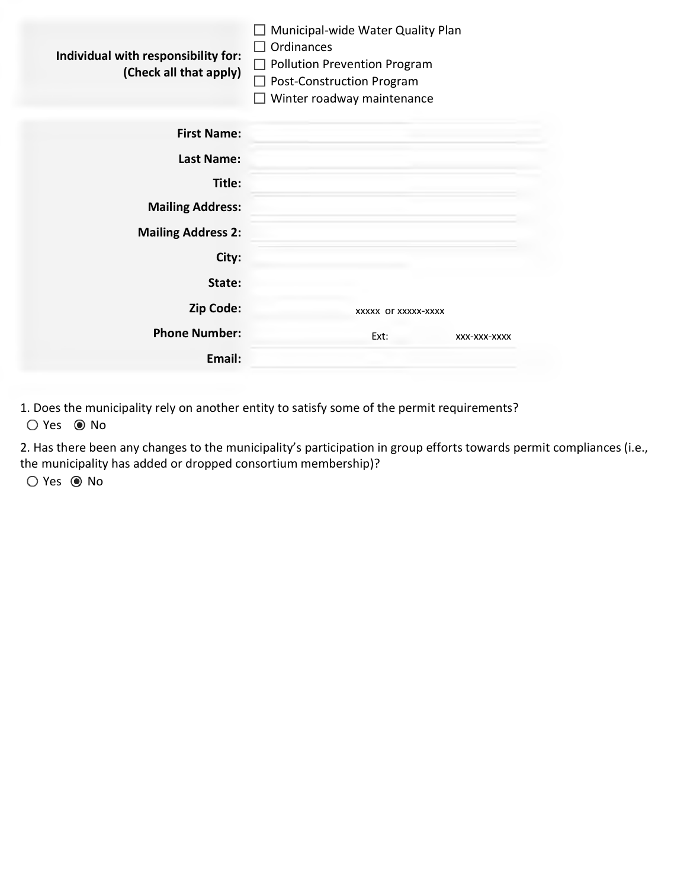| Individual with responsibility for:<br>(Check all that apply) | Municipal-wide Water Quality Plan<br>Ordinances<br><b>Pollution Prevention Program</b><br><b>Post-Construction Program</b><br>Winter roadway maintenance |  |
|---------------------------------------------------------------|----------------------------------------------------------------------------------------------------------------------------------------------------------|--|
| <b>First Name:</b>                                            |                                                                                                                                                          |  |
| Last Name:                                                    |                                                                                                                                                          |  |
| Title:                                                        |                                                                                                                                                          |  |
| <b>Mailing Address:</b>                                       |                                                                                                                                                          |  |
| <b>Mailing Address 2:</b>                                     |                                                                                                                                                          |  |
| City:                                                         |                                                                                                                                                          |  |
| State:                                                        |                                                                                                                                                          |  |
| Zip Code:                                                     | XXXXX OF XXXXX-XXXX                                                                                                                                      |  |
| <b>Phone Number:</b>                                          | Ext:<br>XXX-XXX-XXXX                                                                                                                                     |  |
| Email:                                                        |                                                                                                                                                          |  |

1. Does the municipality rely on another entity to satisfy some of the permit requirements?  $O$  Yes  $\odot$  No

2. Has there been any changes to the municipality's participation in group efforts towards permit compliances (i.e., the municipality has added or dropped consortium membership)?

O Yes <sup>O</sup> No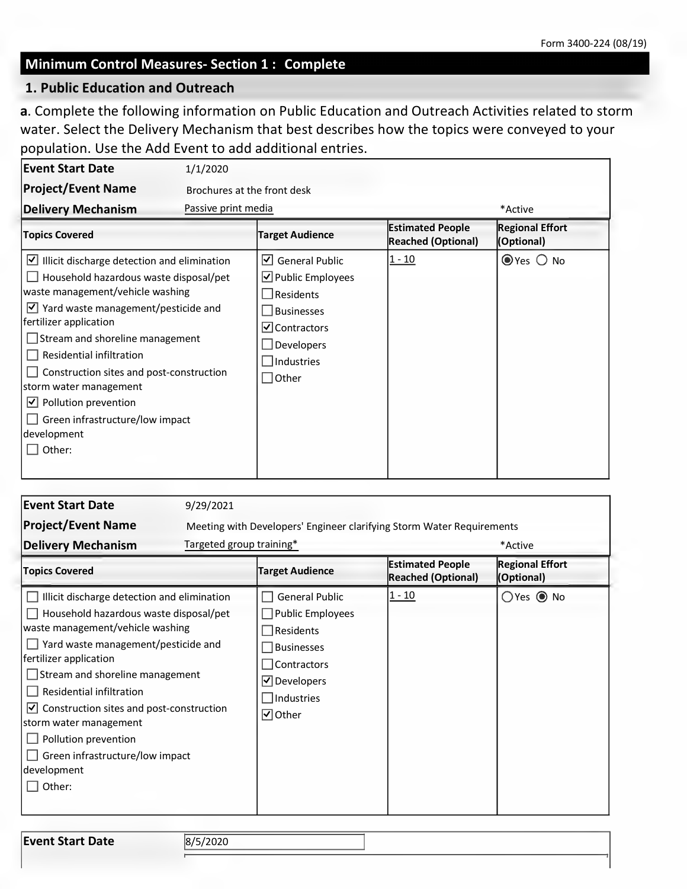#### **Minimum Control Measures- Section 1 : Complete**

#### **1. Public Education and Outreach**

**a**. Complete the following information on Public Education and Outreach Activities related to storm water. Select the Delivery Mechanism that best describes how the topics were conveyed to your population. Use the Add Event to add additional entries.

| Event Start Date                                                                                                                                                                                                                                                                                                                                                                                                                                            | 1/1/2020                    |                                                                                                                                                         |                                                      |                                      |
|-------------------------------------------------------------------------------------------------------------------------------------------------------------------------------------------------------------------------------------------------------------------------------------------------------------------------------------------------------------------------------------------------------------------------------------------------------------|-----------------------------|---------------------------------------------------------------------------------------------------------------------------------------------------------|------------------------------------------------------|--------------------------------------|
| <b>Project/Event Name</b>                                                                                                                                                                                                                                                                                                                                                                                                                                   | Brochures at the front desk |                                                                                                                                                         |                                                      |                                      |
| <b>Delivery Mechanism</b>                                                                                                                                                                                                                                                                                                                                                                                                                                   | Passive print media         |                                                                                                                                                         |                                                      | *Active                              |
| <b>Topics Covered</b>                                                                                                                                                                                                                                                                                                                                                                                                                                       |                             | <b>Target Audience</b>                                                                                                                                  | <b>Estimated People</b><br><b>Reached (Optional)</b> | <b>Regional Effort</b><br>(Optional) |
| $\vee$ Illicit discharge detection and elimination<br>Household hazardous waste disposal/pet<br>waste management/vehicle washing<br>$\vee$ Yard waste management/pesticide and<br>fertilizer application<br>$\Box$ Stream and shoreline management<br>Residential infiltration<br>Construction sites and post-construction<br>storm water management<br>Pollution prevention<br>$ \mathcal{V} $<br>Green infrastructure/low impact<br>development<br>Other: |                             | <b>General Public</b><br>IV∣<br>$\vee$ Public Employees<br>Residents<br><b>Businesses</b><br>⊻ Contractors<br>Developers<br>Industries<br>$\vert$ Other | $1 - 10$                                             | $\odot$ Yes $\bigcirc$ No            |

| <b>Event Start Date</b><br><b>Project/Event Name</b><br><b>Delivery Mechanism</b>                                                                                                                                                                                                                                                                                                                                                | 9/29/2021<br>Targeted group training* | Meeting with Developers' Engineer clarifying Storm Water Requirements                                                                           |                                                      | *Active                              |
|----------------------------------------------------------------------------------------------------------------------------------------------------------------------------------------------------------------------------------------------------------------------------------------------------------------------------------------------------------------------------------------------------------------------------------|---------------------------------------|-------------------------------------------------------------------------------------------------------------------------------------------------|------------------------------------------------------|--------------------------------------|
| <b>Topics Covered</b>                                                                                                                                                                                                                                                                                                                                                                                                            |                                       | <b>Target Audience</b>                                                                                                                          | <b>Estimated People</b><br><b>Reached (Optional)</b> | <b>Regional Effort</b><br>(Optional) |
| Illicit discharge detection and elimination<br>Household hazardous waste disposal/pet<br>waste management/vehicle washing<br>Yard waste management/pesticide and<br>fertilizer application<br>$\Box$ Stream and shoreline management<br>Residential infiltration<br>Construction sites and post-construction<br>⊻∣<br>storm water management<br>Pollution prevention<br>Green infrastructure/low impact<br>development<br>Other: |                                       | <b>General Public</b><br><b>Public Employees</b><br>Residents<br><b>Businesses</b><br>Contractors<br>$\Box$ Developers<br>Industries<br>⊡ Other | $ 1 - 10 $                                           | $O$ Yes $\odot$ No                   |

**Event Start Date** 8/5/2020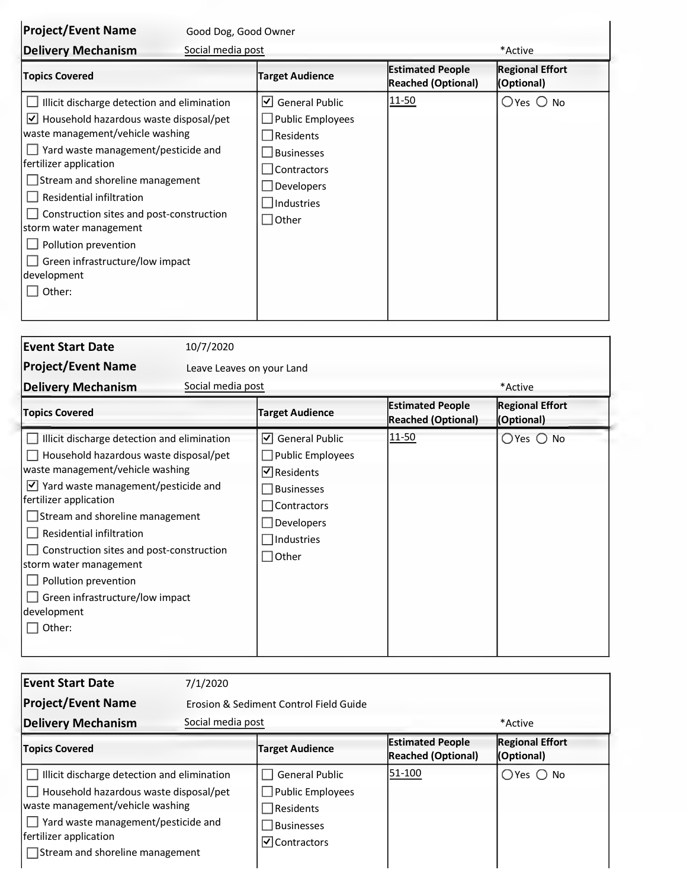| <b>Project/Event Name</b>                                                                                                                                                                                                                                                                                                                                                                                                                     | Good Dog, Good Owner                                                                                                                                       |                                                      |                                      |
|-----------------------------------------------------------------------------------------------------------------------------------------------------------------------------------------------------------------------------------------------------------------------------------------------------------------------------------------------------------------------------------------------------------------------------------------------|------------------------------------------------------------------------------------------------------------------------------------------------------------|------------------------------------------------------|--------------------------------------|
| Social media post<br><b>Delivery Mechanism</b>                                                                                                                                                                                                                                                                                                                                                                                                |                                                                                                                                                            |                                                      | *Active                              |
| <b>Topics Covered</b>                                                                                                                                                                                                                                                                                                                                                                                                                         | <b>Target Audience</b>                                                                                                                                     | <b>Estimated People</b><br><b>Reached (Optional)</b> | <b>Regional Effort</b><br>(Optional) |
| Illicit discharge detection and elimination<br>Household hazardous waste disposal/pet<br>$\vert\mathsf{v}\vert$<br>waste management/vehicle washing<br>Yard waste management/pesticide and<br>fertilizer application<br>Stream and shoreline management<br>Residential infiltration<br>Construction sites and post-construction<br>storm water management<br>Pollution prevention<br>Green infrastructure/low impact<br>development<br>Other: | <b>General Public</b><br>$\vert \checkmark \vert$<br>Public Employees<br>$\vert$ Residents<br><b>Businesses</b><br>Contractors<br>Developers<br>Industries | <u>11-50</u>                                         | $O$ Yes $O$ No                       |

| <b>Event Start Date</b><br><b>Project/Event Name</b><br><b>Delivery Mechanism</b>                                                                                                                                                                                                                                                                                                                                                      | 10/7/2020<br>Leave Leaves on your Land<br>Social media post                                                                                                          |                                                      | *Active                              |
|----------------------------------------------------------------------------------------------------------------------------------------------------------------------------------------------------------------------------------------------------------------------------------------------------------------------------------------------------------------------------------------------------------------------------------------|----------------------------------------------------------------------------------------------------------------------------------------------------------------------|------------------------------------------------------|--------------------------------------|
| <b>Topics Covered</b>                                                                                                                                                                                                                                                                                                                                                                                                                  | <b>Target Audience</b>                                                                                                                                               | <b>Estimated People</b><br><b>Reached (Optional)</b> | <b>Regional Effort</b><br>(Optional) |
| Illicit discharge detection and elimination<br>Household hazardous waste disposal/pet<br>waste management/vehicle washing<br>Yard waste management/pesticide and<br>$ \mathcal{V} $<br>fertilizer application<br>Stream and shoreline management<br>Residential infiltration<br>Construction sites and post-construction<br>storm water management<br>Pollution prevention<br>Green infrastructure/low impact<br>development<br>Other: | <b>General Public</b><br> √ <br><b>Public Employees</b><br>$\triangledown$ Residents<br><b>Businesses</b><br>Contractors<br>Developers<br>Industries<br>$\Box$ Other | 11-50                                                | $O$ Yes $O$ No                       |

| <b>Event Start Date</b>                                                                                                                                                                                                                                   | 7/1/2020                               |                                                                                                                           |                                                      |                                      |  |
|-----------------------------------------------------------------------------------------------------------------------------------------------------------------------------------------------------------------------------------------------------------|----------------------------------------|---------------------------------------------------------------------------------------------------------------------------|------------------------------------------------------|--------------------------------------|--|
| <b>Project/Event Name</b>                                                                                                                                                                                                                                 | Erosion & Sediment Control Field Guide |                                                                                                                           |                                                      |                                      |  |
| <b>Delivery Mechanism</b>                                                                                                                                                                                                                                 | Social media post                      |                                                                                                                           |                                                      | *Active                              |  |
| <b>Topics Covered</b>                                                                                                                                                                                                                                     |                                        | <b>Target Audience</b>                                                                                                    | <b>Estimated People</b><br><b>Reached (Optional)</b> | <b>Regional Effort</b><br>(Optional) |  |
| $\Box$ Illicit discharge detection and elimination<br>$\Box$ Household hazardous waste disposal/pet<br>waste management/vehicle washing<br>$\Box$ Yard waste management/pesticide and<br>fertilizer application<br>$\Box$ Stream and shoreline management |                                        | <b>General Public</b><br>$\Box$ Public Employees<br>Residents<br><b>Businesses</b><br>$\vert \checkmark\vert$ Contractors | 51-100                                               | $O$ Yes $O$ No                       |  |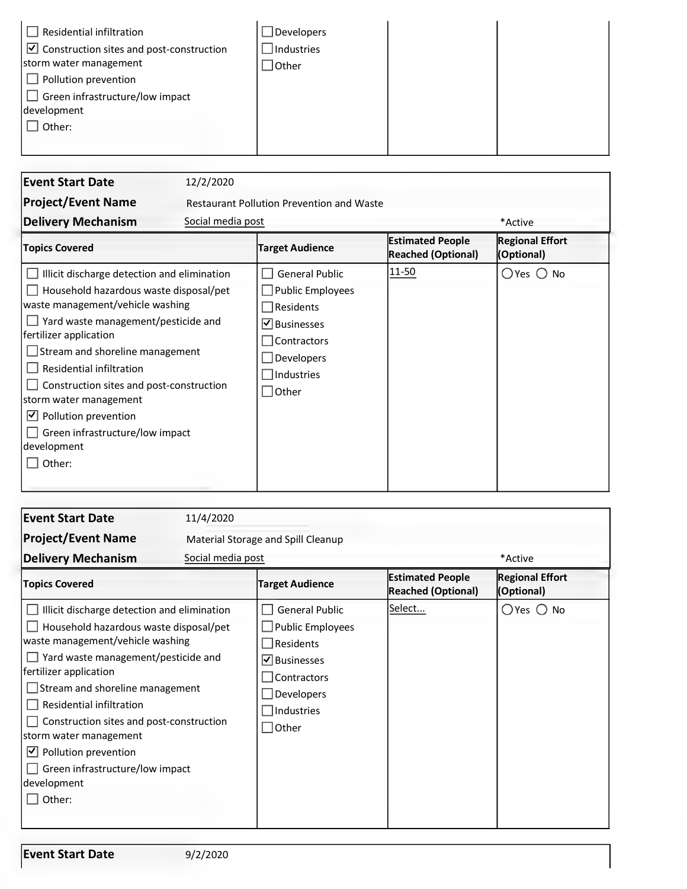| Residential infiltration<br>$\triangledown$ Construction sites and post-construction<br>storm water management | Developers<br>Industries<br>∫Other |  |
|----------------------------------------------------------------------------------------------------------------|------------------------------------|--|
| $\Box$ Pollution prevention<br>$\Box$ Green infrastructure/low impact<br>development                           |                                    |  |
| Other:                                                                                                         |                                    |  |

| <b>Event Start Date</b>                                                                                                                                                                                                                                                                                                                                                                                                                | 12/2/2020         |                                                                                                                                                  |                                                      |                                      |
|----------------------------------------------------------------------------------------------------------------------------------------------------------------------------------------------------------------------------------------------------------------------------------------------------------------------------------------------------------------------------------------------------------------------------------------|-------------------|--------------------------------------------------------------------------------------------------------------------------------------------------|------------------------------------------------------|--------------------------------------|
| <b>Project/Event Name</b><br><b>Delivery Mechanism</b>                                                                                                                                                                                                                                                                                                                                                                                 | Social media post | <b>Restaurant Pollution Prevention and Waste</b>                                                                                                 |                                                      | *Active                              |
| <b>Topics Covered</b>                                                                                                                                                                                                                                                                                                                                                                                                                  |                   | <b>Target Audience</b>                                                                                                                           | <b>Estimated People</b><br><b>Reached (Optional)</b> | <b>Regional Effort</b><br>(Optional) |
| Illicit discharge detection and elimination<br>Household hazardous waste disposal/pet<br>waste management/vehicle washing<br>Yard waste management/pesticide and<br>fertilizer application<br>Stream and shoreline management<br>Residential infiltration<br>Construction sites and post-construction<br>storm water management<br>$ \mathcal{V} $<br>Pollution prevention<br>Green infrastructure/low impact<br>development<br>Other: |                   | <b>General Public</b><br><b>Public Employees</b><br>Residents<br>$\vee$ Businesses<br>Contractors<br>Developers<br>Industries<br>$\exists$ Other | $ 11 - 50 $                                          | $O$ Yes $O$ No                       |

| <b>Event Start Date</b>                                                                                                                                                                                                                                                                                                                                                                                                           | 11/4/2020         |                                                                                                                                           |                                                      |                                      |
|-----------------------------------------------------------------------------------------------------------------------------------------------------------------------------------------------------------------------------------------------------------------------------------------------------------------------------------------------------------------------------------------------------------------------------------|-------------------|-------------------------------------------------------------------------------------------------------------------------------------------|------------------------------------------------------|--------------------------------------|
| <b>Project/Event Name</b>                                                                                                                                                                                                                                                                                                                                                                                                         |                   | Material Storage and Spill Cleanup                                                                                                        |                                                      |                                      |
| <b>Delivery Mechanism</b>                                                                                                                                                                                                                                                                                                                                                                                                         | Social media post |                                                                                                                                           |                                                      | *Active                              |
| <b>Topics Covered</b>                                                                                                                                                                                                                                                                                                                                                                                                             |                   | <b>Target Audience</b>                                                                                                                    | <b>Estimated People</b><br><b>Reached (Optional)</b> | <b>Regional Effort</b><br>(Optional) |
| Illicit discharge detection and elimination<br>Household hazardous waste disposal/pet<br>waste management/vehicle washing<br>$\Box$ Yard waste management/pesticide and<br>fertilizer application<br>Stream and shoreline management<br>Residential infiltration<br>Construction sites and post-construction<br>storm water management<br>$\vee$ Pollution prevention<br>Green infrastructure/low impact<br>development<br>Other: |                   | <b>General Public</b><br><b>Public Employees</b><br>Residents<br>$\boxdot$ Businesses<br>Contractors<br>Developers<br>Industries<br>Other | Select                                               | $O$ Yes $O$ No                       |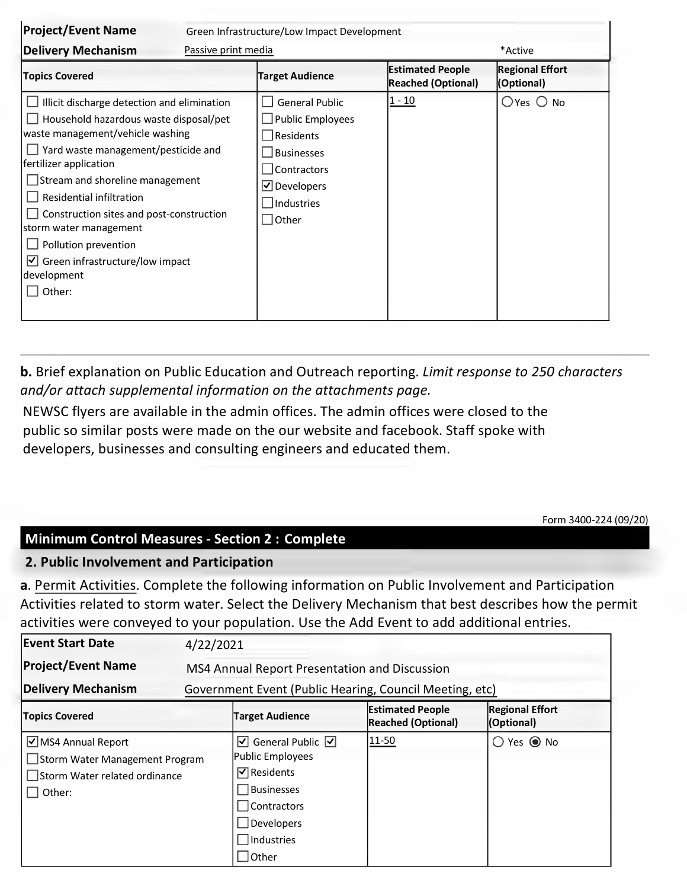| <b>Project/Event Name</b>                                                                                                                                                                                                                                                                                                                                                                                                              | Green Infrastructure/Low Impact Development |                                                                                                                               |                                               |                                      |
|----------------------------------------------------------------------------------------------------------------------------------------------------------------------------------------------------------------------------------------------------------------------------------------------------------------------------------------------------------------------------------------------------------------------------------------|---------------------------------------------|-------------------------------------------------------------------------------------------------------------------------------|-----------------------------------------------|--------------------------------------|
| <b>Delivery Mechanism</b>                                                                                                                                                                                                                                                                                                                                                                                                              | Passive print media                         |                                                                                                                               |                                               | *Active                              |
| <b>Topics Covered</b>                                                                                                                                                                                                                                                                                                                                                                                                                  |                                             | <b>Target Audience</b>                                                                                                        | <b>Estimated People</b><br>Reached (Optional) | <b>Regional Effort</b><br>(Optional) |
| Illicit discharge detection and elimination<br>Household hazardous waste disposal/pet<br>waste management/vehicle washing<br>Yard waste management/pesticide and<br>fertilizer application<br>Stream and shoreline management<br>Residential infiltration<br>Construction sites and post-construction<br>storm water management<br>Pollution prevention<br>Green infrastructure/low impact<br>$ \mathcal{V} $<br>development<br>Other: |                                             | <b>General Public</b><br>Public Employees<br>Residents<br><b>Businesses</b><br>Contractors<br>$\Box$ Developers<br>Industries | 1 - 10                                        | $O$ Yes $O$ No                       |

**b.** Brief explanation on Public Education and Outreach reporting. *Limit response to 250 characters and/or attach supplemental information on the attachments page.*

NEWSC flyers are available in the admin offices. The admin offices were closed to the public so similar posts were made on the our website and facebook. Staff spoke with developers, businesses and consulting engineers and educated them.

Form 3400-224 (09/20)

## **Minimum Control Measures - Section 2 : Complete**

## **2. Public Involvement and Participation**

**a**. Permit Activities. Complete the following information on Public Involvement and Participation Activities related to storm water. Select the Delivery Mechanism that best describes how the permit activities were conveyed to your population. Use the Add Event to add additional entries.

| <b>Event Start Date</b>                                                                          | 4/22/2021                                               |                                                                                                                                                                               |                                                      |                                      |  |  |
|--------------------------------------------------------------------------------------------------|---------------------------------------------------------|-------------------------------------------------------------------------------------------------------------------------------------------------------------------------------|------------------------------------------------------|--------------------------------------|--|--|
| <b>Project/Event Name</b>                                                                        |                                                         | MS4 Annual Report Presentation and Discussion                                                                                                                                 |                                                      |                                      |  |  |
| <b>Delivery Mechanism</b>                                                                        | Government Event (Public Hearing, Council Meeting, etc) |                                                                                                                                                                               |                                                      |                                      |  |  |
| <b>Topics Covered</b>                                                                            |                                                         | <b>Target Audience</b>                                                                                                                                                        | <b>Estimated People</b><br><b>Reached (Optional)</b> | <b>Regional Effort</b><br>(Optional) |  |  |
| ■ MS4 Annual Report<br>Storm Water Management Program<br>Storm Water related ordinance<br>Other: |                                                         | $\boxed{\mathbf{V}}$ General Public $\boxed{\mathbf{V}}$<br>Public Employees<br>$\sqrt{ }$ Residents<br>Businesses<br>Contractors<br>$\Box$ Developers<br>Industries<br>Other | 11-50                                                | $\bigcirc$ Yes $\bigcirc$ No         |  |  |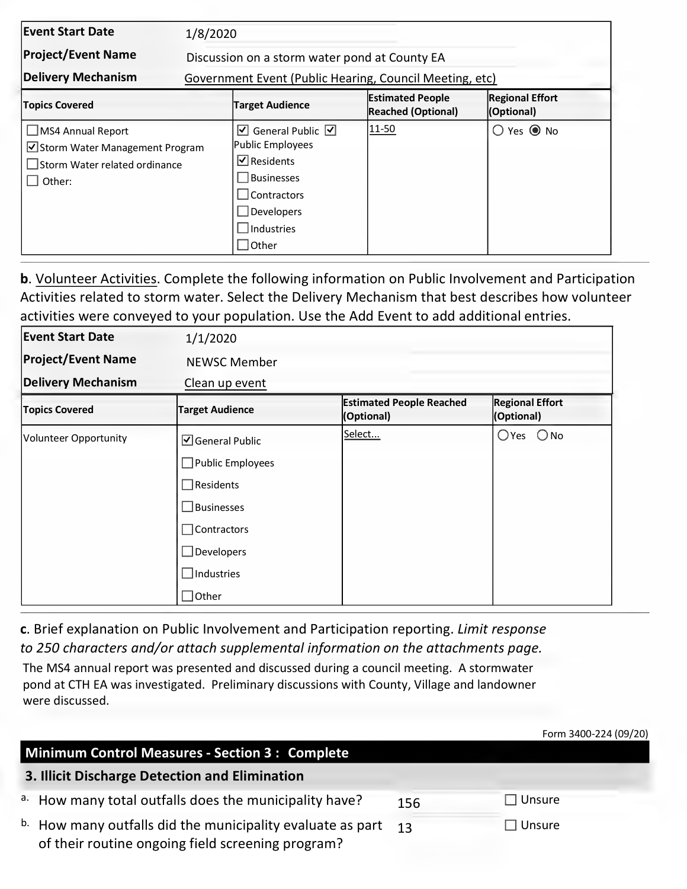| <b>Event Start Date</b>                                                                         |                                               | 1/8/2020                                                                                                                                                                                         |                                                      |                                      |  |  |  |
|-------------------------------------------------------------------------------------------------|-----------------------------------------------|--------------------------------------------------------------------------------------------------------------------------------------------------------------------------------------------------|------------------------------------------------------|--------------------------------------|--|--|--|
| <b>Project/Event Name</b>                                                                       | Discussion on a storm water pond at County EA |                                                                                                                                                                                                  |                                                      |                                      |  |  |  |
| Delivery Mechanism                                                                              |                                               | Government Event (Public Hearing, Council Meeting, etc)                                                                                                                                          |                                                      |                                      |  |  |  |
| <b>Topics Covered</b>                                                                           |                                               | <b>Target Audience</b>                                                                                                                                                                           | <b>Estimated People</b><br><b>Reached (Optional)</b> | <b>Regional Effort</b><br>(Optional) |  |  |  |
| JMS4 Annual Report<br>Storm Water Management Program<br>Storm Water related ordinance<br>Other: |                                               | $\overline{\mathbf{y}}$ General Public $\overline{\mathbf{y}}$<br>Public Employees<br>$\overline{\mathbf{y}}$ Residents<br><b>Businesses</b><br>Contractors<br>Developers<br>Industries<br>Other | $ 11 - 50 $                                          | $O$ Yes $\odot$ No                   |  |  |  |

**b**. Volunteer Activities. Complete the following information on Public Involvement and Participation Activities related to storm water. Select the Delivery Mechanism that best describes how volunteer activities were conveyed to your population. Use the Add Event to add additional entries.

| <b>Event Start Date</b>   | 1/1/2020                       |                                               |                                      |
|---------------------------|--------------------------------|-----------------------------------------------|--------------------------------------|
| <b>Project/Event Name</b> | <b>NEWSC Member</b>            |                                               |                                      |
| <b>Delivery Mechanism</b> | Clean up event                 |                                               |                                      |
| <b>Topics Covered</b>     | <b>Target Audience</b>         | <b>Estimated People Reached</b><br>(Optional) | <b>Regional Effort</b><br>(Optional) |
| Volunteer Opportunity     | $\Box$ General Public          | Select                                        | $O$ Yes $O$ No                       |
|                           | Public Employees               |                                               |                                      |
|                           | $\sqrt{\phantom{a}}$ Residents |                                               |                                      |
|                           | Businesses                     |                                               |                                      |
|                           | Contractors                    |                                               |                                      |
|                           | <b>Developers</b>              |                                               |                                      |
|                           | Industries                     |                                               |                                      |
|                           | Other                          |                                               |                                      |

**c**. Brief explanation on Public Involvement and Participation reporting. *Limit response to 250 characters and/or attach supplemental information on the attachments page.*

The MS4 annual report was presented and discussed during a council meeting. A stormwater pond at CTH EA was investigated. Preliminary discussions with County, Village and landowner were discussed.

|                                                                                                                            |     | Form 3400-224 (09/20) |
|----------------------------------------------------------------------------------------------------------------------------|-----|-----------------------|
| Minimum Control Measures - Section 3 : Complete                                                                            |     |                       |
| 3. Illicit Discharge Detection and Elimination                                                                             |     |                       |
| a. How many total outfalls does the municipality have?                                                                     | 156 | $\Box$ Unsure         |
| <sup>b.</sup> How many outfalls did the municipality evaluate as part<br>of their routine ongoing field screening program? | 13  | Unsure                |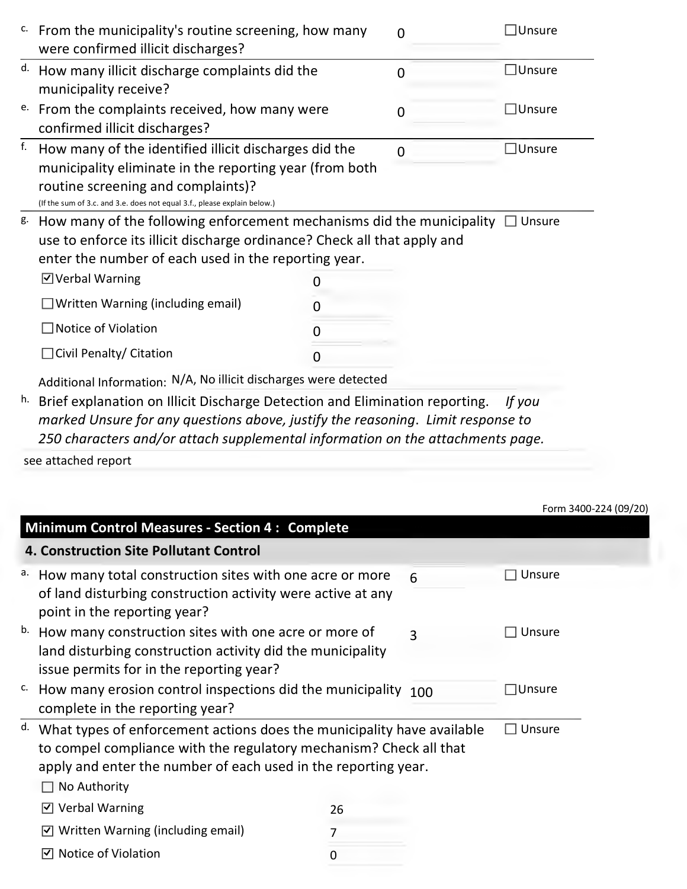| c. | From the municipality's routine screening, how many<br>were confirmed illicit discharges?                                                                                                                                          |   | $\overline{0}$ | Unsure             |
|----|------------------------------------------------------------------------------------------------------------------------------------------------------------------------------------------------------------------------------------|---|----------------|--------------------|
| d. | How many illicit discharge complaints did the<br>municipality receive?                                                                                                                                                             |   | O              | $\square$ Unsure   |
| е. | From the complaints received, how many were<br>confirmed illicit discharges?                                                                                                                                                       |   | O              | $\Box$ Unsure      |
| f. | How many of the identified illicit discharges did the<br>municipality eliminate in the reporting year (from both<br>routine screening and complaints)?<br>(If the sum of 3.c. and 3.e. does not equal 3.f., please explain below.) |   | <sup>0</sup>   | $\sqsupset$ Unsure |
| g. | How many of the following enforcement mechanisms did the municipality $\Box$ Unsure<br>use to enforce its illicit discharge ordinance? Check all that apply and<br>enter the number of each used in the reporting year.            |   |                |                    |
|    | ☑ Verbal Warning                                                                                                                                                                                                                   |   |                |                    |
|    | Written Warning (including email)                                                                                                                                                                                                  |   |                |                    |
|    | Notice of Violation                                                                                                                                                                                                                |   |                |                    |
|    | Civil Penalty/ Citation                                                                                                                                                                                                            | O |                |                    |
|    | Additional Information: N/A, No illicit discharges were detected                                                                                                                                                                   |   |                |                    |
| h. | Brief explanation on Illicit Discharge Detection and Elimination reporting.                                                                                                                                                        |   |                | If you             |

*marked Unsure for any questions above, justify the reasoning*. *Limit response to 250 characters and/or attach supplemental information on the attachments page.*

see attached report

|                                                                                                                                                                                                                                      |    |                | Form 3400-224 (09/20) |
|--------------------------------------------------------------------------------------------------------------------------------------------------------------------------------------------------------------------------------------|----|----------------|-----------------------|
| <b>Minimum Control Measures - Section 4: Complete</b>                                                                                                                                                                                |    |                |                       |
| <b>4. Construction Site Pollutant Control</b>                                                                                                                                                                                        |    |                |                       |
| a. How many total construction sites with one acre or more<br>of land disturbing construction activity were active at any<br>point in the reporting year?                                                                            |    | 6              | Unsure                |
| b. How many construction sites with one acre or more of<br>land disturbing construction activity did the municipality<br>issue permits for in the reporting year?                                                                    |    | $\overline{3}$ | Unsure                |
| <sup>c.</sup> How many erosion control inspections did the municipality<br>complete in the reporting year?                                                                                                                           |    | 100            | $\Box$ Unsure         |
| What types of enforcement actions does the municipality have available<br>d.<br>to compel compliance with the regulatory mechanism? Check all that<br>apply and enter the number of each used in the reporting year.<br>No Authority |    |                | Unsure                |
| $\triangledown$ Verbal Warning                                                                                                                                                                                                       | 26 |                |                       |
| $\triangledown$ Written Warning (including email)                                                                                                                                                                                    | 7  |                |                       |
| Notice of Violation<br>M                                                                                                                                                                                                             | 0  |                |                       |

 $2400.224 (00/20)$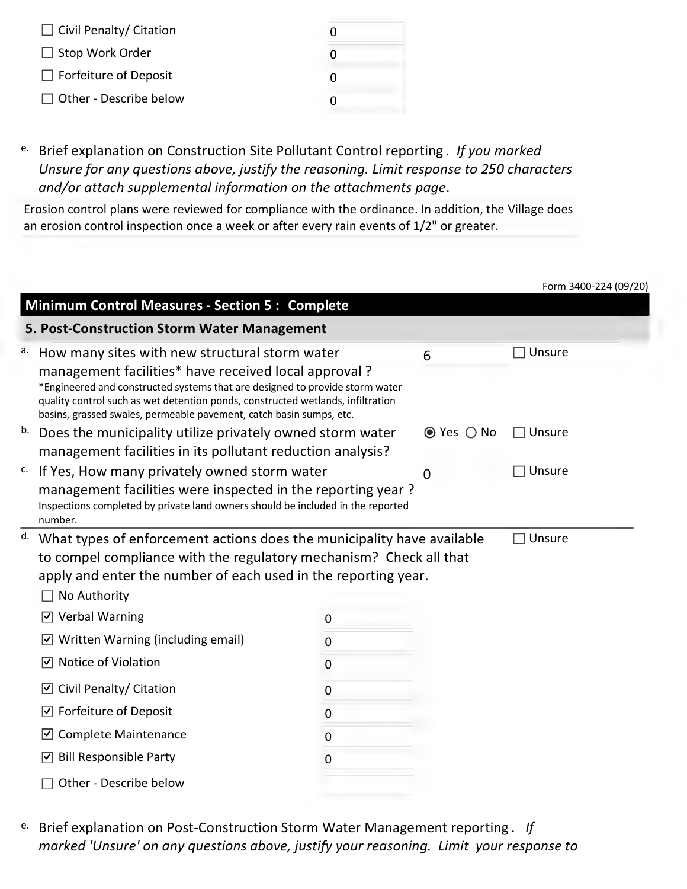| $\Box$ Civil Penalty/ Citation |              |
|--------------------------------|--------------|
| $\Box$ Stop Work Order         | O            |
| $\Box$ Forfeiture of Deposit   | $\mathbf{0}$ |
| $\Box$ Other - Describe below  | 0            |

e. Brief explanation on Construction Site Pollutant Control reporting . *If you marked Unsure for any questions above, justify the reasoning. Limit response to 250 characters and/or attach supplemental information on the attachments page*.

Erosion control plans were reviewed for compliance with the ordinance. In addition, the Village does an erosion control inspection once a week or after every rain events of 1/2" or greater.

|    |                                                                                                                                                                                                                                                                                                                                                     |                  |            | Form 3400-224 (09/20) |
|----|-----------------------------------------------------------------------------------------------------------------------------------------------------------------------------------------------------------------------------------------------------------------------------------------------------------------------------------------------------|------------------|------------|-----------------------|
|    | <b>Minimum Control Measures - Section 5: Complete</b>                                                                                                                                                                                                                                                                                               |                  |            |                       |
|    | 5. Post-Construction Storm Water Management                                                                                                                                                                                                                                                                                                         |                  |            |                       |
|    | a. How many sites with new structural storm water<br>management facilities* have received local approval?<br>*Engineered and constructed systems that are designed to provide storm water<br>quality control such as wet detention ponds, constructed wetlands, infiltration<br>basins, grassed swales, permeable pavement, catch basin sumps, etc. |                  | 6          | $\exists$ Unsure      |
| b. | Does the municipality utilize privately owned storm water<br>management facilities in its pollutant reduction analysis?                                                                                                                                                                                                                             |                  | ● Yes ○ No | $\Box$ Unsure         |
| c. | If Yes, How many privately owned storm water<br>management facilities were inspected in the reporting year?<br>Inspections completed by private land owners should be included in the reported<br>number.                                                                                                                                           |                  | 0          | Unsure                |
| d. | What types of enforcement actions does the municipality have available<br>to compel compliance with the regulatory mechanism? Check all that<br>apply and enter the number of each used in the reporting year.<br>No Authority                                                                                                                      |                  |            | Unsure                |
|    | ☑ Verbal Warning                                                                                                                                                                                                                                                                                                                                    | 0                |            |                       |
|    | Written Warning (including email)<br>$ \mathcal{Y} $                                                                                                                                                                                                                                                                                                | $\boldsymbol{0}$ |            |                       |
|    | Notice of Violation<br>∣√∣                                                                                                                                                                                                                                                                                                                          | $\mathbf 0$      |            |                       |
|    | Civil Penalty/ Citation<br>$ \mathcal{Y} $                                                                                                                                                                                                                                                                                                          | $\boldsymbol{0}$ |            |                       |
|    | Forfeiture of Deposit<br>☑                                                                                                                                                                                                                                                                                                                          | $\mathbf 0$      |            |                       |
|    | <b>Complete Maintenance</b><br>$\vert \overline{\mathsf{v}} \vert$                                                                                                                                                                                                                                                                                  | $\mathbf 0$      |            |                       |
|    | <b>Bill Responsible Party</b><br>∣√∣                                                                                                                                                                                                                                                                                                                | 0                |            |                       |
|    | Other - Describe below                                                                                                                                                                                                                                                                                                                              |                  |            |                       |

e. Brief explanation on Post-Construction Storm Water Management reporting . *If marked 'Unsure' on any questions above, justify your reasoning. Limit your response to*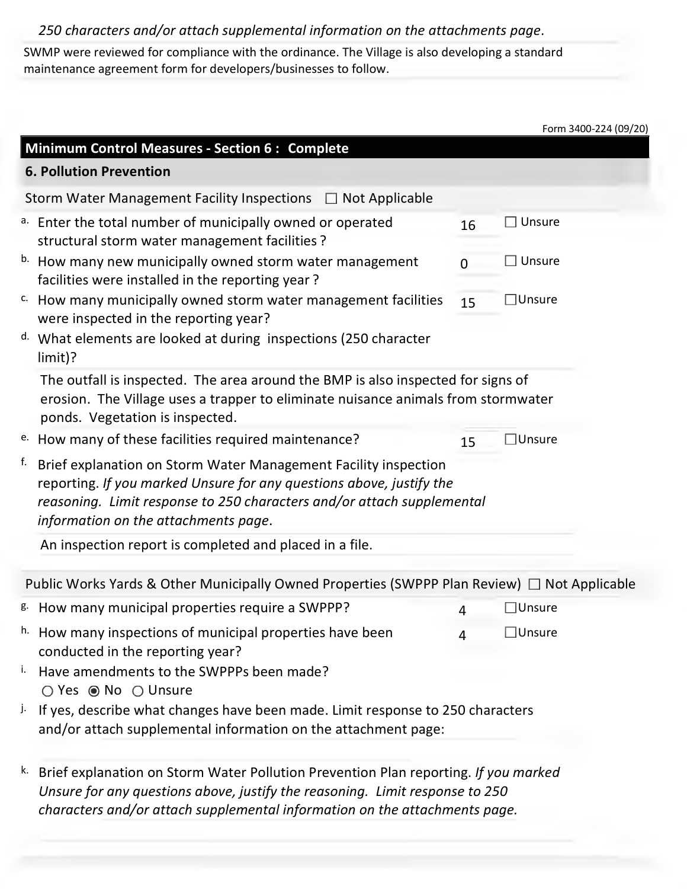## *250 characters and/or attach supplemental information on the attachments page*.

SWMP were reviewed for compliance with the ordinance. The Village is also developing a standard maintenance agreement form for developers/businesses to follow.

|    |                                                                                                                                                                                                                                                           |    |                  | Form 3400-224 (09/20) |
|----|-----------------------------------------------------------------------------------------------------------------------------------------------------------------------------------------------------------------------------------------------------------|----|------------------|-----------------------|
|    | Minimum Control Measures - Section 6 : Complete                                                                                                                                                                                                           |    |                  |                       |
|    | <b>6. Pollution Prevention</b>                                                                                                                                                                                                                            |    |                  |                       |
|    | Storm Water Management Facility Inspections $\Box$ Not Applicable                                                                                                                                                                                         |    |                  |                       |
|    | a. Enter the total number of municipally owned or operated<br>structural storm water management facilities ?                                                                                                                                              | 16 | $\Box$ Unsure    |                       |
|    | b. How many new municipally owned storm water management<br>facilities were installed in the reporting year?                                                                                                                                              | 0  | $\Box$ Unsure    |                       |
|    | <sup>c.</sup> How many municipally owned storm water management facilities<br>were inspected in the reporting year?                                                                                                                                       | 15 | $\square$ Unsure |                       |
|    | d. What elements are looked at during inspections (250 character<br>$limit$ ?                                                                                                                                                                             |    |                  |                       |
|    | The outfall is inspected. The area around the BMP is also inspected for signs of<br>erosion. The Village uses a trapper to eliminate nuisance animals from stormwater<br>ponds. Vegetation is inspected.                                                  |    |                  |                       |
|    | e. How many of these facilities required maintenance?                                                                                                                                                                                                     | 15 | $\Box$ Unsure    |                       |
| f. | Brief explanation on Storm Water Management Facility inspection<br>reporting. If you marked Unsure for any questions above, justify the<br>reasoning. Limit response to 250 characters and/or attach supplemental<br>information on the attachments page. |    |                  |                       |
|    | An inspection report is completed and placed in a file.                                                                                                                                                                                                   |    |                  |                       |
|    | Public Works Yards & Other Municipally Owned Properties (SWPPP Plan Review) $\Box$ Not Applicable                                                                                                                                                         |    |                  |                       |
|    | <sup>g.</sup> How many municipal properties require a SWPPP?                                                                                                                                                                                              | 4  | $\Box$ Unsure    |                       |
| h. | How many inspections of municipal properties have been<br>conducted in the reporting year?                                                                                                                                                                | 4  | $\Box$ Unsure    |                       |
| Ι. | Have amendments to the SWPPPs been made?<br>○ Yes ● No ○ Unsure                                                                                                                                                                                           |    |                  |                       |
| j. | If yes, describe what changes have been made. Limit response to 250 characters<br>and/or attach supplemental information on the attachment page:                                                                                                          |    |                  |                       |
| k. | Brief explanation on Storm Water Pollution Prevention Plan reporting. If you marked<br>Unsure for any questions above, justify the reasoning. Limit response to 250<br>characters and/or attach supplemental information on the attachments page.         |    |                  |                       |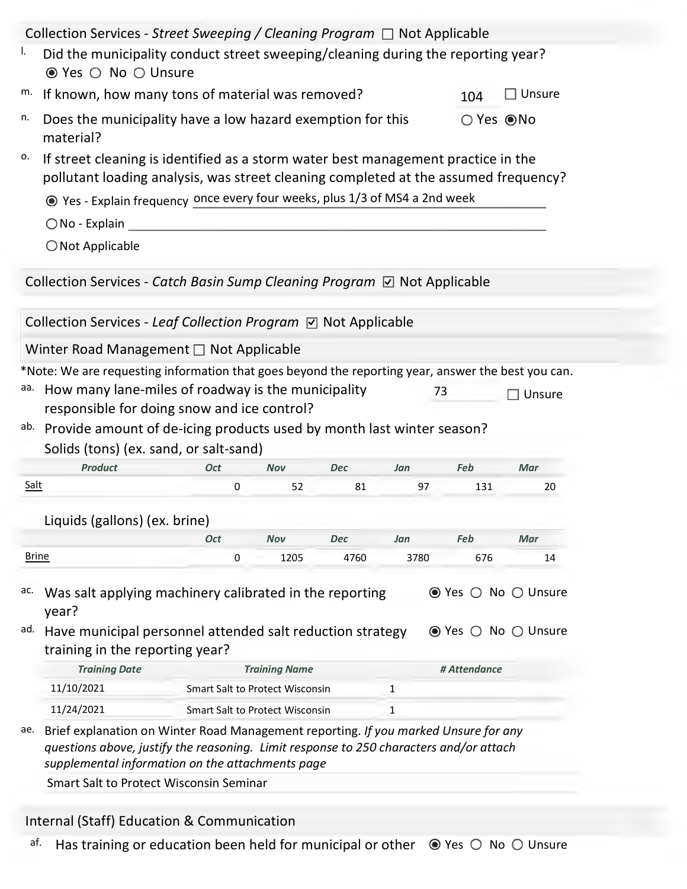|                    | Collection Services - Street Sweeping / Cleaning Program $\Box$ Not Applicable                                                                                                       |            |                                 |            |              |              |                                                                                |
|--------------------|--------------------------------------------------------------------------------------------------------------------------------------------------------------------------------------|------------|---------------------------------|------------|--------------|--------------|--------------------------------------------------------------------------------|
| ı.                 | Did the municipality conduct street sweeping/cleaning during the reporting year?<br>● Yes ○ No ○ Unsure                                                                              |            |                                 |            |              |              |                                                                                |
| m.                 | If known, how many tons of material was removed?                                                                                                                                     |            |                                 |            |              |              | $\Box$ Unsure                                                                  |
| n.                 | Does the municipality have a low hazard exemption for this<br>○ Yes ● No<br>material?                                                                                                |            |                                 |            |              |              |                                                                                |
| о.                 | If street cleaning is identified as a storm water best management practice in the<br>pollutant loading analysis, was street cleaning completed at the assumed frequency?             |            |                                 |            |              |              |                                                                                |
|                    | ⊙ Yes - Explain frequency once every four weeks, plus 1/3 of MS4 a 2nd week                                                                                                          |            |                                 |            |              |              |                                                                                |
|                    | $\bigcirc$ No - Explain                                                                                                                                                              |            |                                 |            |              |              |                                                                                |
|                    | $\bigcirc$ Not Applicable                                                                                                                                                            |            |                                 |            |              |              |                                                                                |
|                    |                                                                                                                                                                                      |            |                                 |            |              |              |                                                                                |
|                    | Collection Services - Catch Basin Sump Cleaning Program $\boxdot$ Not Applicable                                                                                                     |            |                                 |            |              |              |                                                                                |
|                    | Collection Services - Leaf Collection Program ⊠ Not Applicable                                                                                                                       |            |                                 |            |              |              |                                                                                |
|                    |                                                                                                                                                                                      |            |                                 |            |              |              |                                                                                |
|                    | Winter Road Management □ Not Applicable                                                                                                                                              |            |                                 |            |              |              |                                                                                |
|                    | *Note: We are requesting information that goes beyond the reporting year, answer the best you can.<br>How many lane-miles of roadway is the municipality                             |            |                                 |            |              | 73           | $\exists$ Unsure                                                               |
|                    | responsible for doing snow and ice control?<br>ab. Provide amount of de-icing products used by month last winter season?<br>Solids (tons) (ex. sand, or salt-sand)<br><b>Product</b> | <b>Oct</b> | Nov                             | <b>Dec</b> | Jan          | Feb          | Mar                                                                            |
| aa.<br><b>Salt</b> |                                                                                                                                                                                      | 0          | 52                              | 81         | 97           | 131          | 20                                                                             |
|                    |                                                                                                                                                                                      |            |                                 |            |              |              |                                                                                |
|                    | Liquids (gallons) (ex. brine)                                                                                                                                                        | <b>Oct</b> | <b>Nov</b>                      | <b>Dec</b> | Jan          | Feb          | Mar                                                                            |
| <b>Brine</b>       |                                                                                                                                                                                      | 0          | 1205                            | 4760       | 3780         | 676          | 14                                                                             |
| ac.<br>ad.         | Was salt applying machinery calibrated in the reporting<br>year?<br>Have municipal personnel attended salt reduction strategy<br>training in the reporting year?                     |            |                                 |            |              |              | $\odot$ Yes $\odot$ No $\odot$ Unsure<br>$\odot$ Yes $\odot$ No $\odot$ Unsure |
|                    | <b>Training Date</b>                                                                                                                                                                 |            | <b>Training Name</b>            |            |              | # Attendance |                                                                                |
|                    | 11/10/2021                                                                                                                                                                           |            | Smart Salt to Protect Wisconsin |            | $\mathbf{1}$ |              |                                                                                |
| ae.                | 11/24/2021<br>Brief explanation on Winter Road Management reporting. If you marked Unsure for any                                                                                    |            | Smart Salt to Protect Wisconsin |            | 1            |              |                                                                                |

Internal (Staff) Education & Communication

af. Has training or education been held for municipal or other  $\bullet$  Yes  $\circ$  No  $\circ$  Unsure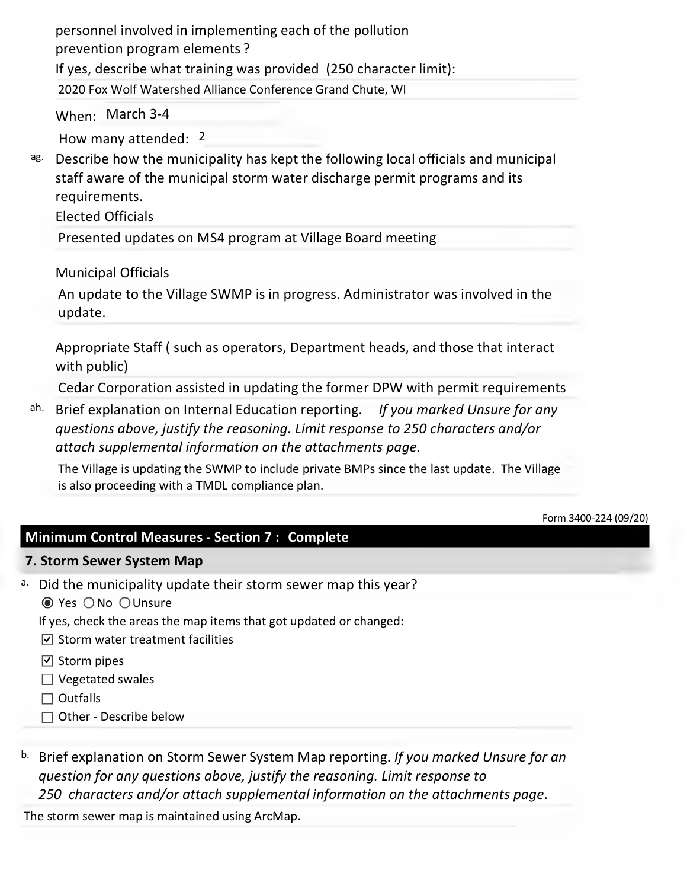personnel involved in implementing each of the pollution prevention program elements ? If yes, describe what training was provided (250 character limit): 2020 Fox Wolf Watershed Alliance Conference Grand Chute, WI

When: March 3-4

How many attended: 2

ag. Describe how the municipality has kept the following local officials and municipal staff aware of the municipal storm water discharge permit programs and its requirements.

Elected Officials

Presented updates on MS4 program at Village Board meeting

Municipal Officials

An update to the Village SWMP is in progress. Administrator was involved in the update.

Appropriate Staff ( such as operators, Department heads, and those that interact with public)

Cedar Corporation assisted in updating the former DPW with permit requirements

ah. Brief explanation on Internal Education reporting. *If you marked Unsure for any questions above, justify the reasoning. Limit response to 250 characters and/or attach supplemental information on the attachments page.*

The Village is updating the SWMP to include private BMPs since the last update. The Village is also proceeding with a TMDL compliance plan.

```
Form 3400-224 (09/20)
```
## **Minimum Control Measures - Section 7 : Complete**

## **7. Storm Sewer System Map**

- a. Did the municipality update their storm sewer map this year?
	- <sup>●</sup> Yes ONo OUnsure
	- If yes, check the areas the map items that got updated or changed:
	- $\triangledown$  Storm water treatment facilities
	- $\boxdot$  Storm pipes
	- $\Box$  Vegetated swales
	- $\square$  Outfalls
	- □ Other Describe below
- b. Brief explanation on Storm Sewer System Map reporting. *If you marked Unsure for an question for any questions above, justify the reasoning. Limit response to 250 characters and/or attach supplemental information on the attachments page*.

The storm sewer map is maintained using ArcMap.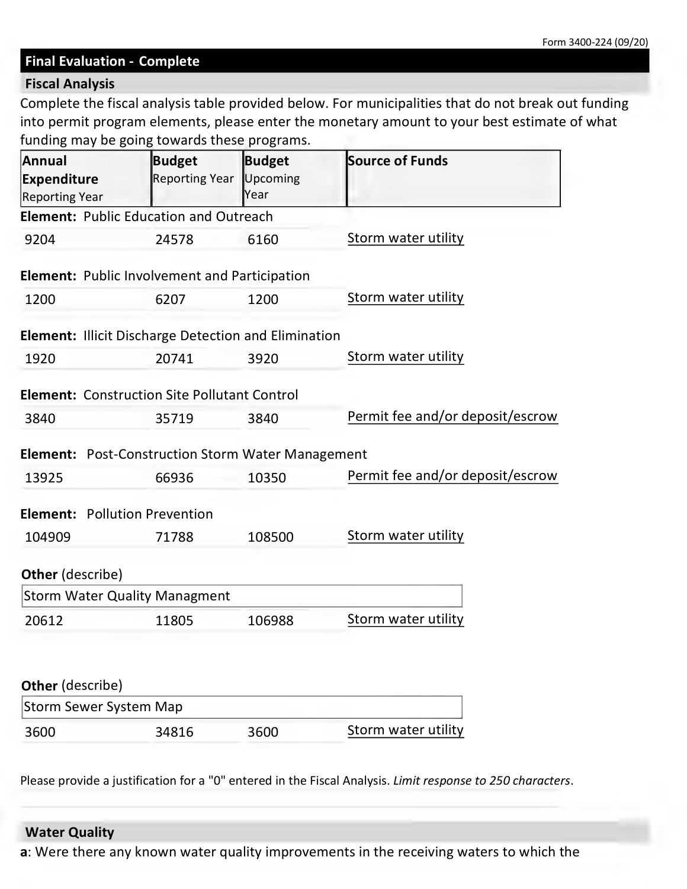#### **Final Evaluation - Complete**

#### **Fiscal Analysis**

Complete the fiscal analysis table provided below. For municipalities that do not break out funding into permit program elements, please enter the monetary amount to your best estimate of what funding may be going towards these programs.

| <b>Annual</b><br><b>Expenditure</b><br><b>Reporting Year</b> | Budget<br>Reporting Year | <b>Budget</b><br>Upcoming<br>Year | <b>Source of Funds</b>           |
|--------------------------------------------------------------|--------------------------|-----------------------------------|----------------------------------|
| <b>Element: Public Education and Outreach</b>                |                          |                                   |                                  |
| 9204                                                         | 24578                    | 6160                              | <b>Storm water utility</b>       |
| <b>Element: Public Involvement and Participation</b>         |                          |                                   |                                  |
| 1200                                                         | 6207                     | 1200                              | Storm water utility              |
| <b>Element: Illicit Discharge Detection and Elimination</b>  |                          |                                   |                                  |
| 1920                                                         | 20741                    | 3920                              | Storm water utility              |
| <b>Element: Construction Site Pollutant Control</b>          |                          |                                   |                                  |
| 3840                                                         | 35719                    | 3840                              | Permit fee and/or deposit/escrow |
| <b>Element:</b> Post-Construction Storm Water Management     |                          |                                   |                                  |
| 13925                                                        | 66936                    | 10350                             | Permit fee and/or deposit/escrow |
| <b>Element: Pollution Prevention</b>                         |                          |                                   |                                  |
| 104909                                                       | 71788                    | 108500                            | Storm water utility              |
| <b>Other</b> (describe)                                      |                          |                                   |                                  |
| <b>Storm Water Quality Managment</b>                         |                          |                                   |                                  |
| 20612                                                        | 11805                    | 106988                            | Storm water utility              |
|                                                              |                          |                                   |                                  |
| Other (describe)                                             |                          |                                   |                                  |
| <b>Storm Sewer System Map</b>                                |                          |                                   |                                  |
| 3600                                                         | 34816                    | 3600                              | Storm water utility              |

Please provide a justification for a "0" entered in the Fiscal Analysis. *Limit response to 250 characters*.

### **Water Quality**

**a**: Were there any known water quality improvements in the receiving waters to which the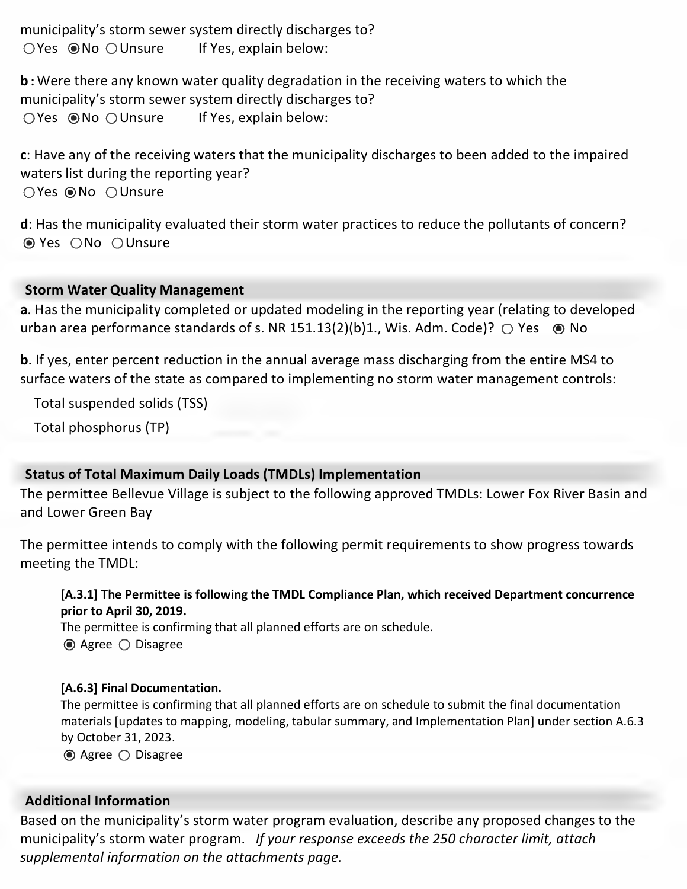municipality's storm sewer system directly discharges to? If Yes, explain below:  $O$  Yes  $\odot$  No  $O$  Unsure

**b :** Were there any known water quality degradation in the receiving waters to which the municipality's storm sewer system directly discharges to? If Yes, explain below:  $O$  Yes  $\odot$  No  $O$  Unsure

**c**: Have any of the receiving waters that the municipality discharges to been added to the impaired waters list during the reporting year? OYes <sup>● No</sup> OUnsure

**d**: Has the municipality evaluated their storm water practices to reduce the pollutants of concern? ● Yes ONo OUnsure

## **Storm Water Quality Management**

**a**. Has the municipality completed or updated modeling in the reporting year (relating to developed urban area performance standards of s. NR 151.13(2)(b)1., Wis. Adm. Code)?  $\bigcirc$  Yes  $\circledast$  No

**b**. If yes, enter percent reduction in the annual average mass discharging from the entire MS4 to surface waters of the state as compared to implementing no storm water management controls:

Total suspended solids (TSS)

Total phosphorus (TP)

## **Status of Total Maximum Daily Loads (TMDLs) Implementation**

The permittee Bellevue Village is subject to the following approved TMDLs: Lower Fox River Basin and and Lower Green Bay

The permittee intends to comply with the following permit requirements to show progress towards meeting the TMDL:

**[A.3.1] The Permittee is following the TMDL Compliance Plan, which received Department concurrence prior to April 30, 2019.**

The permittee is confirming that all planned efforts are on schedule. **◎** Agree ○ Disagree

#### **[A.6.3] Final Documentation.**

The permittee is confirming that all planned efforts are on schedule to submit the final documentation materials [updates to mapping, modeling, tabular summary, and Implementation Plan] under section A.6.3 by October 31, 2023.

**◎** Agree ○ Disagree

## **Additional Information**

Based on the municipality's storm water program evaluation, describe any proposed changes to the municipality's storm water program. *If your response exceeds the 250 character limit, attach supplemental information on the attachments page.*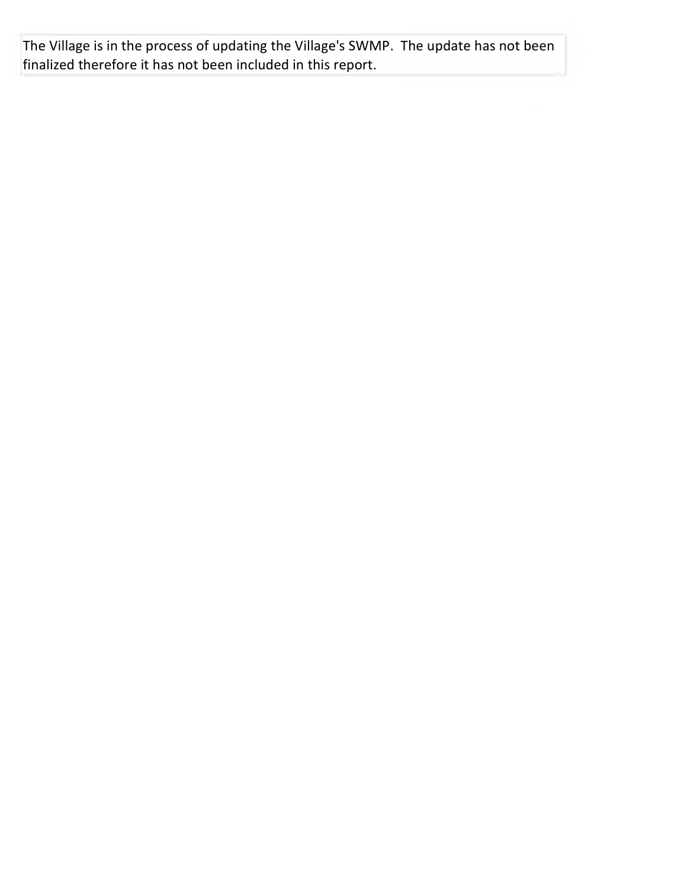The Village is in the process of updating the Village's SWMP. The update has not been finalized therefore it has not been included in this report.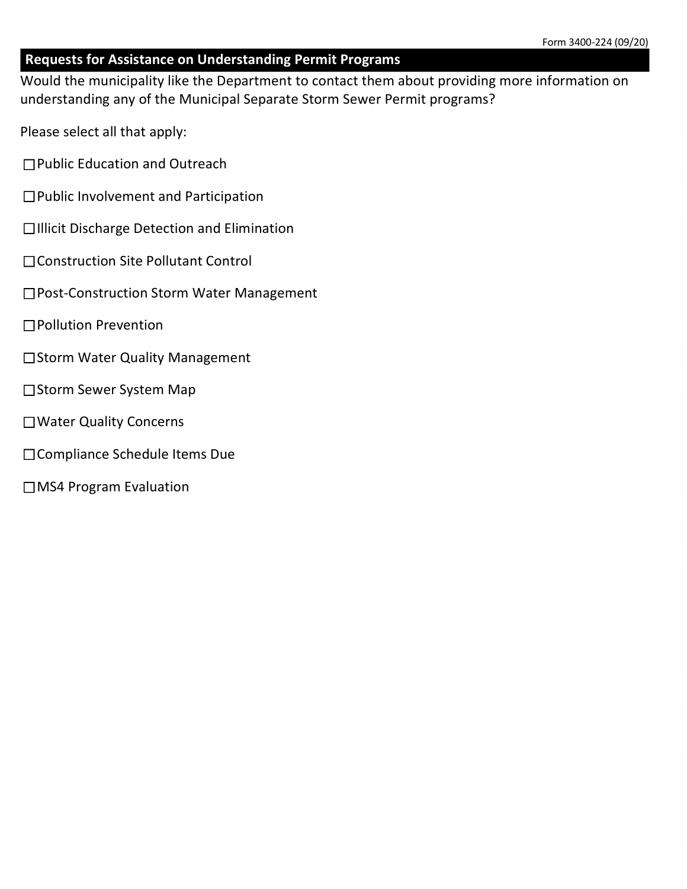## **Requests for Assistance on Understanding Permit Programs**

Would the municipality like the Department to contact them about providing more information on understanding any of the Municipal Separate Storm Sewer Permit programs?

Please select all that apply:

- □ Public Education and Outreach
- $\Box$  Public Involvement and Participation
- $\square$ Illicit Discharge Detection and Elimination
- $\Box$  Construction Site Pollutant Control
- □Post-Construction Storm Water Management
- □Pollution Prevention
- □Storm Water Quality Management
- □Storm Sewer System Map
- □Water Quality Concerns
- $\square$  Compliance Schedule Items Due
- □MS4 Program Evaluation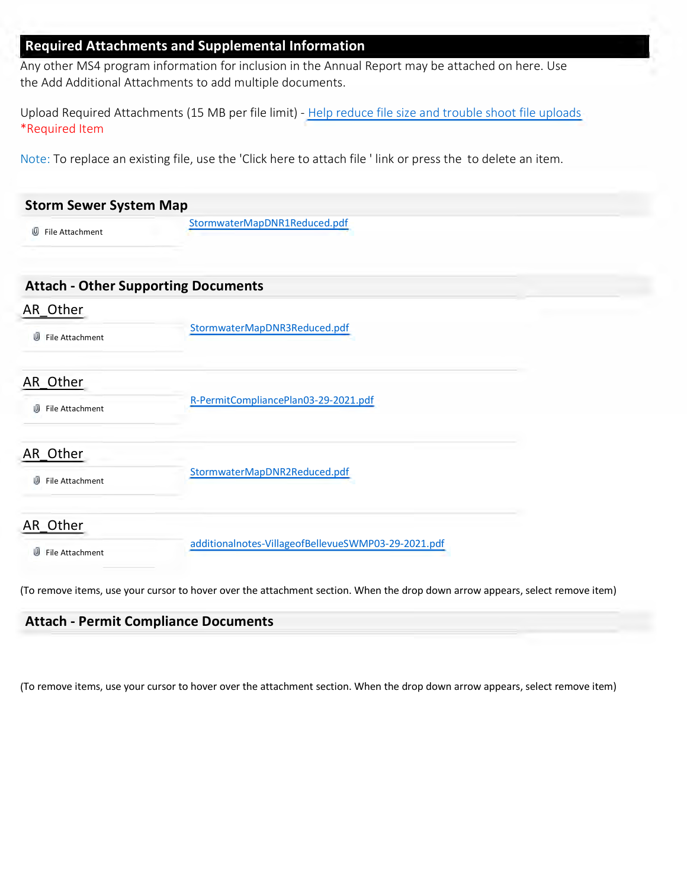#### **Required Attachments and Supplemental Information**

Any other MS4 program information for inclusion in the Annual Report may be attached on here. Use the Add Additional Attachments to add multiple documents.

Upload Required Attachments (15 MB per file limit) - Help reduce file size and trouble shoot file uploads \*Required Item

Note: To replace an existing file, use the 'Click here to attach file ' link or press the to delete an item.

| File Attachment<br>w             | StormwaterMapDNR1Reduced.pdf                        |  |
|----------------------------------|-----------------------------------------------------|--|
|                                  | <b>Attach - Other Supporting Documents</b>          |  |
| AR Other<br>U<br>File Attachment | StormwaterMapDNR3Reduced.pdf                        |  |
| AR Other<br>File Attachment<br>⋓ | R-PermitCompliancePlan03-29-2021.pdf                |  |
| AR Other<br>File Attachment<br>屻 | StormwaterMapDNR2Reduced.pdf                        |  |
| AR Other<br>U<br>File Attachment | additionalnotes-VillageofBellevueSWMP03-29-2021.pdf |  |

## **Attach - Permit Compliance Documents**

(To remove items, use your cursor to hover over the attachment section. When the drop down arrow appears, select remove item)